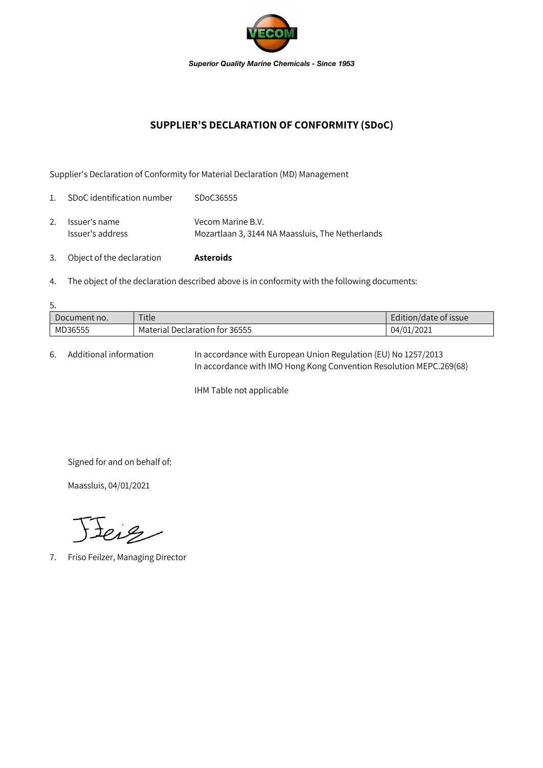

## **SUPPLIER'S DECLARATION OF CONFORMITY (SDoC)**

Supplier's Declaration of Conformity for Material Declaration (MD) Management

| 3.             | Object of the declaration         | <b>Asteroids</b>                                                      |
|----------------|-----------------------------------|-----------------------------------------------------------------------|
| 2.             | Issuer's name<br>Issuer's address | Vecom Marine B.V.<br>Mozartlaan 3, 3144 NA Maassluis, The Netherlands |
| $\mathbf{1}$ . | SDoC identification number        | SDoC36555                                                             |

4. The object of the declaration described above is in conformity with the following documents:

| 5.           |                                |                       |  |  |  |  |
|--------------|--------------------------------|-----------------------|--|--|--|--|
| Document no. | Title                          | Edition/date of issue |  |  |  |  |
| MD36555      | Material Declaration for 36555 | 04/01/2021            |  |  |  |  |

6. Additional information In accordance with European Union Regulation (EU) No 1257/2013 In accordance with IMO Hong Kong Convention Resolution MEPC.269(68)

IHM Table not applicable

Signed for and on behalf of:

Maassluis, 04/01/2021

Feig

7. Friso Feilzer, Managing Director